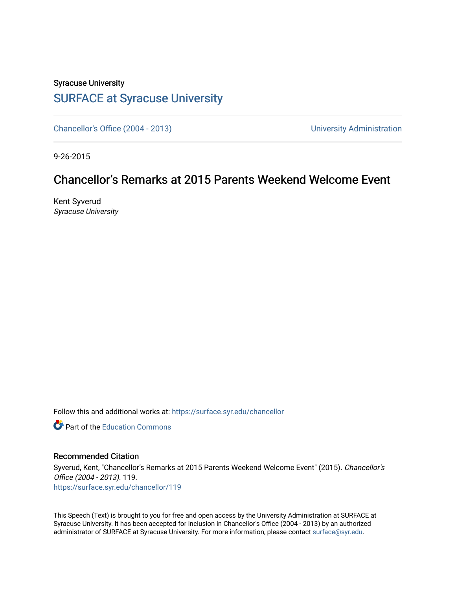## Syracuse University [SURFACE at Syracuse University](https://surface.syr.edu/)

[Chancellor's Office \(2004 - 2013\)](https://surface.syr.edu/chancellor) Chancellor's Office (2004 - 2013)

9-26-2015

## Chancellor's Remarks at 2015 Parents Weekend Welcome Event

Kent Syverud Syracuse University

Follow this and additional works at: [https://surface.syr.edu/chancellor](https://surface.syr.edu/chancellor?utm_source=surface.syr.edu%2Fchancellor%2F119&utm_medium=PDF&utm_campaign=PDFCoverPages) 

**C** Part of the [Education Commons](http://network.bepress.com/hgg/discipline/784?utm_source=surface.syr.edu%2Fchancellor%2F119&utm_medium=PDF&utm_campaign=PDFCoverPages)

## Recommended Citation

Syverud, Kent, "Chancellor's Remarks at 2015 Parents Weekend Welcome Event" (2015). Chancellor's Office (2004 - 2013). 119. [https://surface.syr.edu/chancellor/119](https://surface.syr.edu/chancellor/119?utm_source=surface.syr.edu%2Fchancellor%2F119&utm_medium=PDF&utm_campaign=PDFCoverPages) 

This Speech (Text) is brought to you for free and open access by the University Administration at SURFACE at Syracuse University. It has been accepted for inclusion in Chancellor's Office (2004 - 2013) by an authorized administrator of SURFACE at Syracuse University. For more information, please contact [surface@syr.edu.](mailto:surface@syr.edu)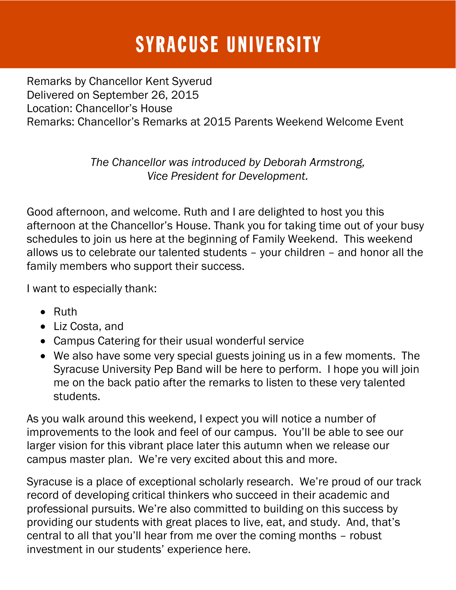## **SYRACUSE UNIVERSITY**

Remarks by Chancellor Kent Syverud Delivered on September 26, 2015 Location: Chancellor's House Remarks: Chancellor's Remarks at 2015 Parents Weekend Welcome Event

> *The Chancellor was introduced by Deborah Armstrong, Vice President for Development.*

Good afternoon, and welcome. Ruth and I are delighted to host you this afternoon at the Chancellor's House. Thank you for taking time out of your busy schedules to join us here at the beginning of Family Weekend. This weekend allows us to celebrate our talented students – your children – and honor all the family members who support their success.

I want to especially thank:

- Ruth
- Liz Costa, and
- Campus Catering for their usual wonderful service
- We also have some very special guests joining us in a few moments. The Syracuse University Pep Band will be here to perform. I hope you will join me on the back patio after the remarks to listen to these very talented students.

As you walk around this weekend, I expect you will notice a number of improvements to the look and feel of our campus. You'll be able to see our larger vision for this vibrant place later this autumn when we release our campus master plan. We're very excited about this and more.

Syracuse is a place of exceptional scholarly research. We're proud of our track record of developing critical thinkers who succeed in their academic and professional pursuits. We're also committed to building on this success by providing our students with great places to live, eat, and study. And, that's central to all that you'll hear from me over the coming months – robust investment in our students' experience here.